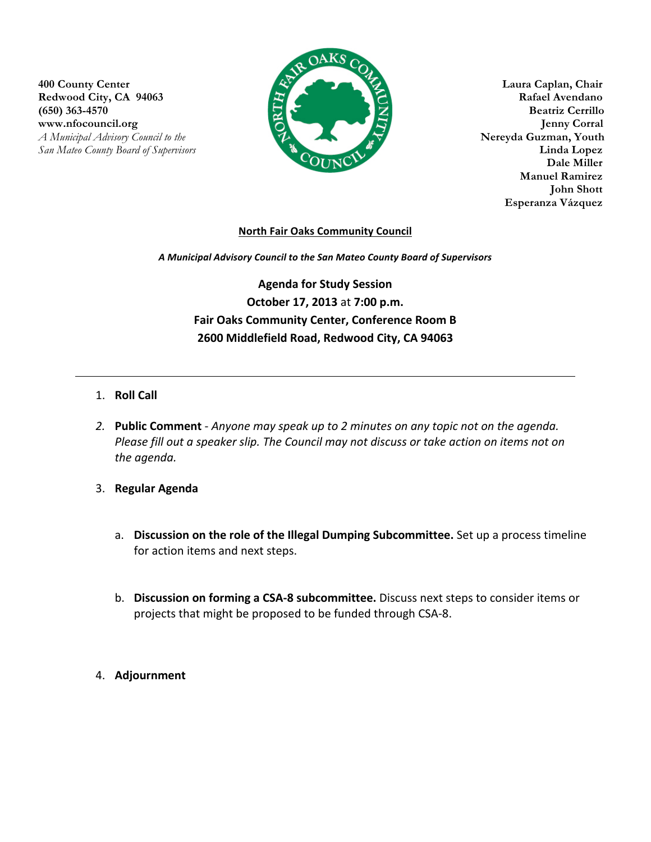**400 County Center Laura Caplan, Chair Redwood City, CA 94063 Rafael Avendano (650) 363-4570 Beatriz Cerrillo www.nfocouncil.org Jenny Corral** *A Municipal Advisory Council to the* **Nereyda Guzman, Youth**



**Manuel Ramirez John Shott** **Esperanza Vázquez**

## **North Fair Oaks Community Council**

*A Municipal Advisory Council to the San Mateo County Board of Supervisors*

Agenda for Study Session **October 17, 2013 at 7:00 p.m.** Fair Oaks Community Center, Conference Room B **2600 Middlefield Road, Redwood City, CA 94063**

## 1. **Roll Call**

- 2. **Public Comment** *Anyone may speak up to 2 minutes on any topic not on the agenda. Please fill out a speaker slip. The Council may not discuss or take action on items not on the agenda.*
- 3. **Regular Agenda**
	- a. **Discussion on the role of the Illegal Dumping Subcommittee.** Set up a process timeline for action items and next steps.
	- b. **Discussion on forming a CSA-8 subcommittee.** Discuss next steps to consider items or projects that might be proposed to be funded through CSA-8.
- 4. **Adjournment**